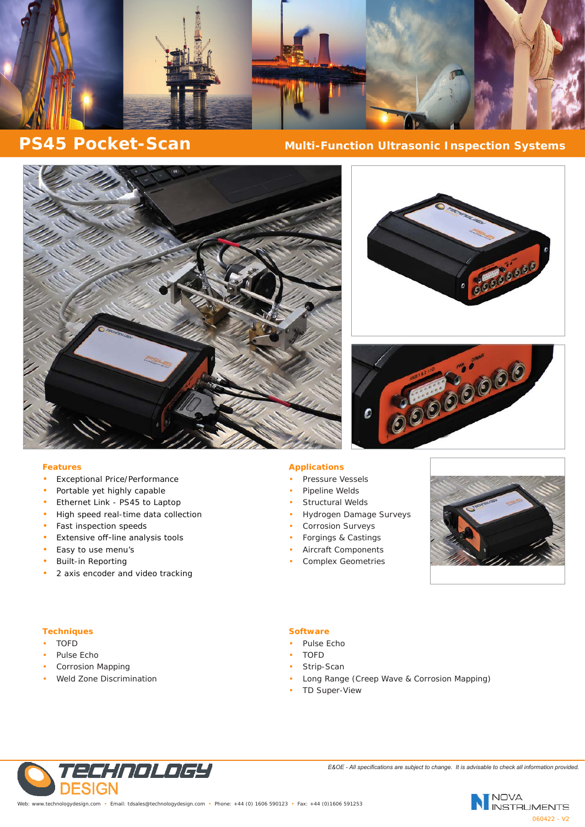

# **PS45 Pocket-Scan** Multi-Function Ultrasonic Inspection Systems







### **Features**

- Exceptional Price/Performance
- Portable yet highly capable
- Ethernet Link PS45 to Laptop
- High speed real-time data collection
- Fast inspection speeds
- Extensive off-line analysis tools
- Easy to use menu's
- Built-in Reporting
- 2 axis encoder and video tracking

#### **Applications**

- Pressure Vessels
- Pipeline Welds
- Structural Welds
- Hydrogen Damage Surveys
- Corrosion Surveys
- Forgings & Castings
- Aircraft Components
- Complex Geometries



#### **Techniques**

- TOFD
- Pulse Echo
- Corrosion Mapping
- Weld Zone Discrimination

## **Software**

- Pulse Echo
- TOFD
- Strip-Scan
- Long Range (Creep Wave & Corrosion Mapping)
- **TD Super-View**



*E&OE - All specifications are subject to change. It is advisable to check all information provided.*